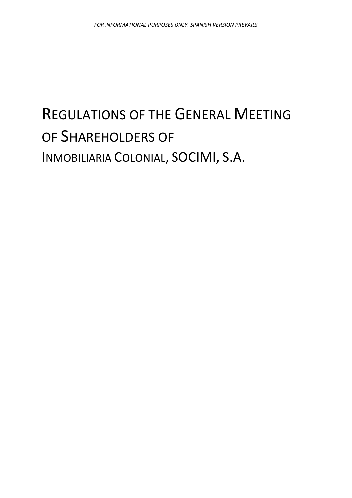# REGULATIONS OF THE GENERAL MEETING OF SHAREHOLDERS OF INMOBILIARIA COLONIAL, SOCIMI, S.A.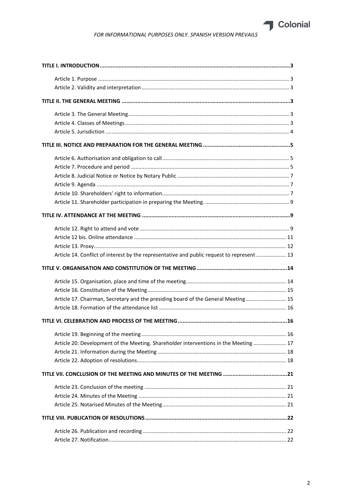

| Article 14. Conflict of interest by the representative and public request to represent  13 |
|--------------------------------------------------------------------------------------------|
|                                                                                            |
|                                                                                            |
|                                                                                            |
| Article 17. Chairman, Secretary and the presiding board of the General Meeting 15          |
|                                                                                            |
|                                                                                            |
|                                                                                            |
| Article 20. Development of the Meeting. Shareholder interventions in the Meeting  17       |
|                                                                                            |
|                                                                                            |
|                                                                                            |
|                                                                                            |
|                                                                                            |
|                                                                                            |
|                                                                                            |
|                                                                                            |
|                                                                                            |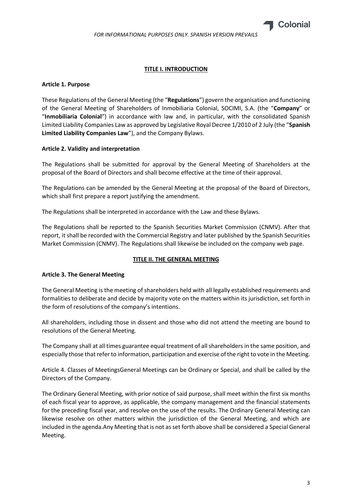

## **TITLE I. INTRODUCTION**

## <span id="page-2-1"></span><span id="page-2-0"></span>**Article 1. Purpose**

These Regulations of the General Meeting (the "**Regulations**") govern the organisation and functioning of the General Meeting of Shareholders of Inmobiliaria Colonial, SOCIMI, S.A. (the "**Company**" or "**Inmobiliaria Colonial**") in accordance with law and, in particular, with the consolidated Spanish Limited Liability Companies Law as approved by Legislative Royal Decree 1/2010 of 2 July (the "**Spanish Limited Liability Companies Law**"), and the Company Bylaws.

## <span id="page-2-2"></span>**Article 2. Validity and interpretation**

The Regulations shall be submitted for approval by the General Meeting of Shareholders at the proposal of the Board of Directors and shall become effective at the time of their approval.

The Regulations can be amended by the General Meeting at the proposal of the Board of Directors, which shall first prepare a report justifying the amendment.

The Regulations shall be interpreted in accordance with the Law and these Bylaws.

The Regulations shall be reported to the Spanish Securities Market Commission (CNMV). After that report, it shall be recorded with the Commercial Registry and later published by the Spanish Securities Market Commission (CNMV). The Regulations shall likewise be included on the company web page.

## **TITLE II. THE GENERAL MEETING**

## <span id="page-2-4"></span><span id="page-2-3"></span>**Article 3. The General Meeting**

The General Meeting is the meeting of shareholders held with all legally established requirements and formalities to deliberate and decide by majority vote on the matters within its jurisdiction, set forth in the form of resolutions of the company's intentions.

All shareholders, including those in dissent and those who did not attend the meeting are bound to resolutions of the General Meeting.

The Company shall at all times guarantee equal treatment of all shareholders in the same position, and especially those that refer to information, participation and exercise of the right to vote in the Meeting.

<span id="page-2-5"></span>Article 4. Classes of MeetingsGeneral Meetings can be Ordinary or Special, and shall be called by the Directors of the Company.

The Ordinary General Meeting, with prior notice of said purpose, shall meet within the first six months of each fiscal year to approve, as applicable, the company management and the financial statements for the preceding fiscal year, and resolve on the use of the results. The Ordinary General Meeting can likewise resolve on other matters within the jurisdiction of the General Meeting, and which are included in the agenda.Any Meeting that is not as set forth above shall be considered a Special General Meeting.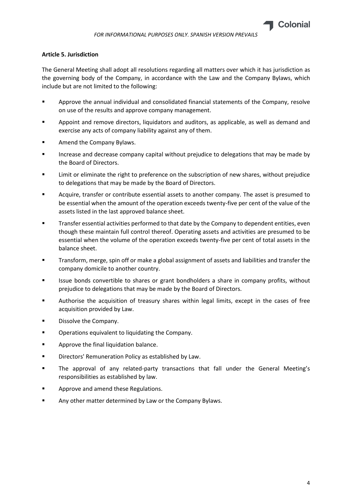# <span id="page-3-0"></span>**Article 5. Jurisdiction**

The General Meeting shall adopt all resolutions regarding all matters over which it has jurisdiction as the governing body of the Company, in accordance with the Law and the Company Bylaws, which include but are not limited to the following:

- Approve the annual individual and consolidated financial statements of the Company, resolve on use of the results and approve company management.
- Appoint and remove directors, liquidators and auditors, as applicable, as well as demand and exercise any acts of company liability against any of them.
- Amend the Company Bylaws.
- **EXED Increase and decrease company capital without prejudice to delegations that may be made by** the Board of Directors.
- Limit or eliminate the right to preference on the subscription of new shares, without prejudice to delegations that may be made by the Board of Directors.
- Acquire, transfer or contribute essential assets to another company. The asset is presumed to be essential when the amount of the operation exceeds twenty-five per cent of the value of the assets listed in the last approved balance sheet.
- **Transfer essential activities performed to that date by the Company to dependent entities, even** though these maintain full control thereof. Operating assets and activities are presumed to be essential when the volume of the operation exceeds twenty-five per cent of total assets in the balance sheet.
- Transform, merge, spin off or make a global assignment of assets and liabilities and transfer the company domicile to another country.
- Issue bonds convertible to shares or grant bondholders a share in company profits, without prejudice to delegations that may be made by the Board of Directors.
- Authorise the acquisition of treasury shares within legal limits, except in the cases of free acquisition provided by Law.
- Dissolve the Company.
- Operations equivalent to liquidating the Company.
- Approve the final liquidation balance.
- Directors' Remuneration Policy as established by Law.
- The approval of any related-party transactions that fall under the General Meeting's responsibilities as established by law.
- Approve and amend these Regulations.
- Any other matter determined by Law or the Company Bylaws.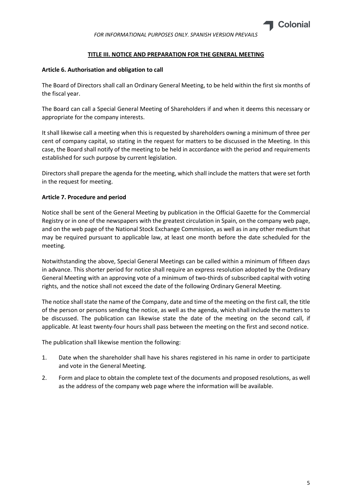

# **TITLE III. NOTICE AND PREPARATION FOR THE GENERAL MEETING**

# <span id="page-4-1"></span><span id="page-4-0"></span>**Article 6. Authorisation and obligation to call**

The Board of Directors shall call an Ordinary General Meeting, to be held within the first six months of the fiscal year.

The Board can call a Special General Meeting of Shareholders if and when it deems this necessary or appropriate for the company interests.

It shall likewise call a meeting when this is requested by shareholders owning a minimum of three per cent of company capital, so stating in the request for matters to be discussed in the Meeting. In this case, the Board shall notify of the meeting to be held in accordance with the period and requirements established for such purpose by current legislation.

Directors shall prepare the agenda for the meeting, which shall include the matters that were set forth in the request for meeting.

# <span id="page-4-2"></span>**Article 7. Procedure and period**

Notice shall be sent of the General Meeting by publication in the Official Gazette for the Commercial Registry or in one of the newspapers with the greatest circulation in Spain, on the company web page, and on the web page of the National Stock Exchange Commission, as well as in any other medium that may be required pursuant to applicable law, at least one month before the date scheduled for the meeting.

Notwithstanding the above, Special General Meetings can be called within a minimum of fifteen days in advance. This shorter period for notice shall require an express resolution adopted by the Ordinary General Meeting with an approving vote of a minimum of two-thirds of subscribed capital with voting rights, and the notice shall not exceed the date of the following Ordinary General Meeting.

The notice shall state the name of the Company, date and time of the meeting on the first call, the title of the person or persons sending the notice, as well as the agenda, which shall include the matters to be discussed. The publication can likewise state the date of the meeting on the second call, if applicable. At least twenty-four hours shall pass between the meeting on the first and second notice.

The publication shall likewise mention the following:

- 1. Date when the shareholder shall have his shares registered in his name in order to participate and vote in the General Meeting.
- 2. Form and place to obtain the complete text of the documents and proposed resolutions, as well as the address of the company web page where the information will be available.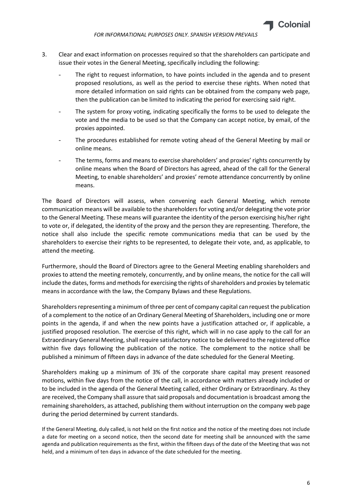

- 3. Clear and exact information on processes required so that the shareholders can participate and issue their votes in the General Meeting, specifically including the following:
	- The right to request information, to have points included in the agenda and to present proposed resolutions, as well as the period to exercise these rights. When noted that more detailed information on said rights can be obtained from the company web page, then the publication can be limited to indicating the period for exercising said right.
	- The system for proxy voting, indicating specifically the forms to be used to delegate the vote and the media to be used so that the Company can accept notice, by email, of the proxies appointed.
	- The procedures established for remote voting ahead of the General Meeting by mail or online means.
	- The terms, forms and means to exercise shareholders' and proxies' rights concurrently by online means when the Board of Directors has agreed, ahead of the call for the General Meeting, to enable shareholders' and proxies' remote attendance concurrently by online means.

The Board of Directors will assess, when convening each General Meeting, which remote communication means will be available to the shareholders for voting and/or delegating the vote prior to the General Meeting. These means will guarantee the identity of the person exercising his/her right to vote or, if delegated, the identity of the proxy and the person they are representing. Therefore, the notice shall also include the specific remote communications media that can be used by the shareholders to exercise their rights to be represented, to delegate their vote, and, as applicable, to attend the meeting.

Furthermore, should the Board of Directors agree to the General Meeting enabling shareholders and proxies to attend the meeting remotely, concurrently, and by online means, the notice for the call will include the dates, forms and methods for exercising the rights of shareholders and proxies by telematic means in accordance with the law, the Company Bylaws and these Regulations.

Shareholders representing a minimum of three per cent of company capital can request the publication of a complement to the notice of an Ordinary General Meeting of Shareholders, including one or more points in the agenda, if and when the new points have a justification attached or, if applicable, a justified proposed resolution. The exercise of this right, which will in no case apply to the call for an Extraordinary General Meeting, shall require satisfactory notice to be delivered to the registered office within five days following the publication of the notice. The complement to the notice shall be published a minimum of fifteen days in advance of the date scheduled for the General Meeting.

Shareholders making up a minimum of 3% of the corporate share capital may present reasoned motions, within five days from the notice of the call, in accordance with matters already included or to be included in the agenda of the General Meeting called, either Ordinary or Extraordinary. As they are received, the Company shall assure that said proposals and documentation is broadcast among the remaining shareholders, as attached, publishing them without interruption on the company web page during the period determined by current standards.

If the General Meeting, duly called, is not held on the first notice and the notice of the meeting does not include a date for meeting on a second notice, then the second date for meeting shall be announced with the same agenda and publication requirements as the first, within the fifteen days of the date of the Meeting that was not held, and a minimum of ten days in advance of the date scheduled for the meeting.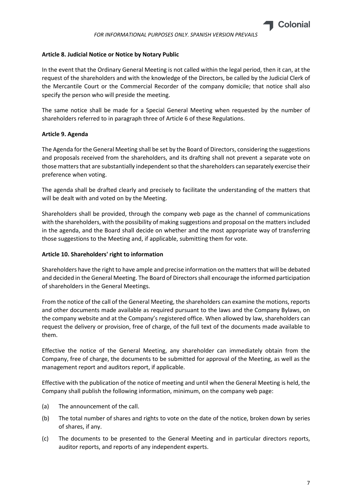# <span id="page-6-0"></span>**Article 8. Judicial Notice or Notice by Notary Public**

In the event that the Ordinary General Meeting is not called within the legal period, then it can, at the request of the shareholders and with the knowledge of the Directors, be called by the Judicial Clerk of the Mercantile Court or the Commercial Recorder of the company domicile; that notice shall also specify the person who will preside the meeting.

The same notice shall be made for a Special General Meeting when requested by the number of shareholders referred to in paragraph three of Article 6 of these Regulations.

# <span id="page-6-1"></span>**Article 9. Agenda**

The Agenda for the General Meeting shall be set by the Board of Directors, considering the suggestions and proposals received from the shareholders, and its drafting shall not prevent a separate vote on those matters that are substantially independent so that the shareholders can separately exercise their preference when voting.

The agenda shall be drafted clearly and precisely to facilitate the understanding of the matters that will be dealt with and voted on by the Meeting.

Shareholders shall be provided, through the company web page as the channel of communications with the shareholders, with the possibility of making suggestions and proposal on the matters included in the agenda, and the Board shall decide on whether and the most appropriate way of transferring those suggestions to the Meeting and, if applicable, submitting them for vote.

## <span id="page-6-2"></span>**Article 10. Shareholders' right to information**

Shareholders have the right to have ample and precise information on the matters that will be debated and decided in the General Meeting. The Board of Directors shall encourage the informed participation of shareholders in the General Meetings.

From the notice of the call of the General Meeting, the shareholders can examine the motions, reports and other documents made available as required pursuant to the laws and the Company Bylaws, on the company website and at the Company's registered office. When allowed by law, shareholders can request the delivery or provision, free of charge, of the full text of the documents made available to them.

Effective the notice of the General Meeting, any shareholder can immediately obtain from the Company, free of charge, the documents to be submitted for approval of the Meeting, as well as the management report and auditors report, if applicable.

Effective with the publication of the notice of meeting and until when the General Meeting is held, the Company shall publish the following information, minimum, on the company web page:

- (a) The announcement of the call.
- (b) The total number of shares and rights to vote on the date of the notice, broken down by series of shares, if any.
- (c) The documents to be presented to the General Meeting and in particular directors reports, auditor reports, and reports of any independent experts.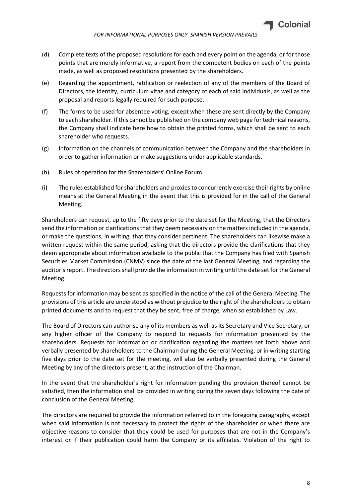

- (d) Complete texts of the proposed resolutions for each and every point on the agenda, or for those points that are merely informative, a report from the competent bodies on each of the points made, as well as proposed resolutions presented by the shareholders.
- (e) Regarding the appointment, ratification or reelection of any of the members of the Board of Directors, the identity, curriculum vitae and category of each of said individuals, as well as the proposal and reports legally required for such purpose.
- (f) The forms to be used for absentee voting, except when these are sent directly by the Company to each shareholder. If this cannot be published on the company web page for technical reasons, the Company shall indicate here how to obtain the printed forms, which shall be sent to each shareholder who requests.
- (g) Information on the channels of communication between the Company and the shareholders in order to gather information or make suggestions under applicable standards.
- (h) Rules of operation for the Shareholders' Online Forum.
- (i) The rules established for shareholders and proxies to concurrently exercise their rights by online means at the General Meeting in the event that this is provided for in the call of the General Meeting.

Shareholders can request, up to the fifty days prior to the date set for the Meeting, that the Directors send the information or clarifications that they deem necessary on the matters included in the agenda, or make the questions, in writing, that they consider pertinent. The shareholders can likewise make a written request within the same period, asking that the directors provide the clarifications that they deem appropriate about information available to the public that the Company has filed with Spanish Securities Market Commission (CNMV) since the date of the last General Meeting, and regarding the auditor's report. The directors shall provide the information in writing until the date set for the General Meeting.

Requests for information may be sent as specified in the notice of the call of the General Meeting. The provisions of this article are understood as without prejudice to the right of the shareholders to obtain printed documents and to request that they be sent, free of charge, when so established by Law.

The Board of Directors can authorise any of its members as well as its Secretary and Vice Secretary, or any higher officer of the Company to respond to requests for information presented by the shareholders. Requests for information or clarification regarding the matters set forth above and verbally presented by shareholders to the Chairman during the General Meeting, or in writing starting five days prior to the date set for the meeting, will also be verbally presented during the General Meeting by any of the directors present, at the instruction of the Chairman.

In the event that the shareholder's right for information pending the provision thereof cannot be satisfied, then the information shall be provided in writing during the seven days following the date of conclusion of the General Meeting.

The directors are required to provide the information referred to in the foregoing paragraphs, except when said information is not necessary to protect the rights of the shareholder or when there are objective reasons to consider that they could be used for purposes that are not in the Company's interest or if their publication could harm the Company or its affiliates. Violation of the right to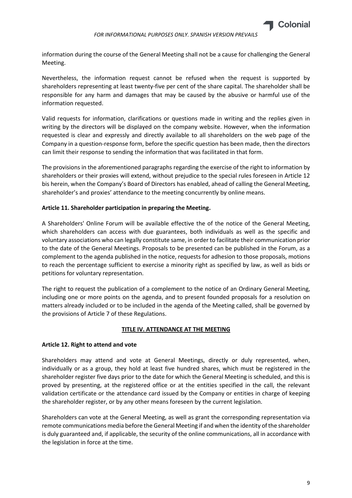

information during the course of the General Meeting shall not be a cause for challenging the General Meeting.

Nevertheless, the information request cannot be refused when the request is supported by shareholders representing at least twenty-five per cent of the share capital. The shareholder shall be responsible for any harm and damages that may be caused by the abusive or harmful use of the information requested.

Valid requests for information, clarifications or questions made in writing and the replies given in writing by the directors will be displayed on the company website. However, when the information requested is clear and expressly and directly available to all shareholders on the web page of the Company in a question-response form, before the specific question has been made, then the directors can limit their response to sending the information that was facilitated in that form.

The provisions in the aforementioned paragraphs regarding the exercise of the right to information by shareholders or their proxies will extend, without prejudice to the special rules foreseen in Article 12 bis herein, when the Company's Board of Directors has enabled, ahead of calling the General Meeting, shareholder's and proxies' attendance to the meeting concurrently by online means.

## <span id="page-8-0"></span>**Article 11. Shareholder participation in preparing the Meeting.**

A Shareholders' Online Forum will be available effective the of the notice of the General Meeting, which shareholders can access with due guarantees, both individuals as well as the specific and voluntary associations who can legally constitute same, in order to facilitate their communication prior to the date of the General Meetings. Proposals to be presented can be published in the Forum, as a complement to the agenda published in the notice, requests for adhesion to those proposals, motions to reach the percentage sufficient to exercise a minority right as specified by law, as well as bids or petitions for voluntary representation.

The right to request the publication of a complement to the notice of an Ordinary General Meeting, including one or more points on the agenda, and to present founded proposals for a resolution on matters already included or to be included in the agenda of the Meeting called, shall be governed by the provisions of Article 7 of these Regulations.

## **TITLE IV. ATTENDANCE AT THE MEETING**

## <span id="page-8-2"></span><span id="page-8-1"></span>**Article 12. Right to attend and vote**

Shareholders may attend and vote at General Meetings, directly or duly represented, when, individually or as a group, they hold at least five hundred shares, which must be registered in the shareholder register five days prior to the date for which the General Meeting is scheduled, and this is proved by presenting, at the registered office or at the entities specified in the call, the relevant validation certificate or the attendance card issued by the Company or entities in charge of keeping the shareholder register, or by any other means foreseen by the current legislation.

Shareholders can vote at the General Meeting, as well as grant the corresponding representation via remote communications media before the General Meeting if and when the identity of the shareholder is duly guaranteed and, if applicable, the security of the online communications, all in accordance with the legislation in force at the time.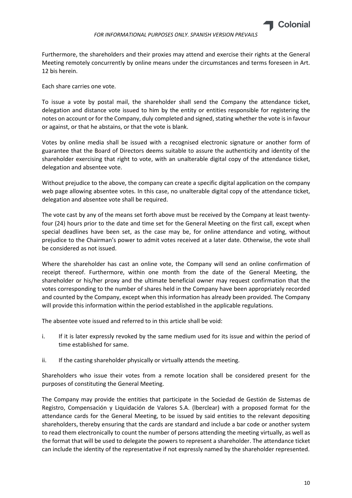

Furthermore, the shareholders and their proxies may attend and exercise their rights at the General Meeting remotely concurrently by online means under the circumstances and terms foreseen in Art. 12 bis herein.

Each share carries one vote.

To issue a vote by postal mail, the shareholder shall send the Company the attendance ticket, delegation and distance vote issued to him by the entity or entities responsible for registering the notes on account or for the Company, duly completed and signed, stating whether the vote is in favour or against, or that he abstains, or that the vote is blank.

Votes by online media shall be issued with a recognised electronic signature or another form of guarantee that the Board of Directors deems suitable to assure the authenticity and identity of the shareholder exercising that right to vote, with an unalterable digital copy of the attendance ticket, delegation and absentee vote.

Without prejudice to the above, the company can create a specific digital application on the company web page allowing absentee votes. In this case, no unalterable digital copy of the attendance ticket, delegation and absentee vote shall be required.

The vote cast by any of the means set forth above must be received by the Company at least twentyfour (24) hours prior to the date and time set for the General Meeting on the first call, except when special deadlines have been set, as the case may be, for online attendance and voting, without prejudice to the Chairman's power to admit votes received at a later date. Otherwise, the vote shall be considered as not issued.

Where the shareholder has cast an online vote, the Company will send an online confirmation of receipt thereof. Furthermore, within one month from the date of the General Meeting, the shareholder or his/her proxy and the ultimate beneficial owner may request confirmation that the votes corresponding to the number of shares held in the Company have been appropriately recorded and counted by the Company, except when this information has already been provided. The Company will provide this information within the period established in the applicable regulations.

The absentee vote issued and referred to in this article shall be void:

- i. If it is later expressly revoked by the same medium used for its issue and within the period of time established for same.
- ii. If the casting shareholder physically or virtually attends the meeting.

Shareholders who issue their votes from a remote location shall be considered present for the purposes of constituting the General Meeting.

The Company may provide the entities that participate in the Sociedad de Gestión de Sistemas de Registro, Compensación y Liquidación de Valores S.A. (lberclear) with a proposed format for the attendance cards for the General Meeting, to be issued by said entities to the relevant depositing shareholders, thereby ensuring that the cards are standard and include a bar code or another system to read them electronically to count the number of persons attending the meeting virtually, as well as the format that will be used to delegate the powers to represent a shareholder. The attendance ticket can include the identity of the representative if not expressly named by the shareholder represented.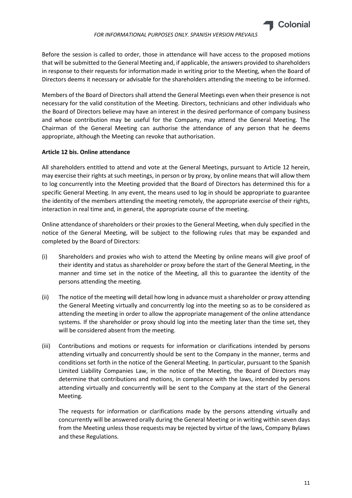

Before the session is called to order, those in attendance will have access to the proposed motions that will be submitted to the General Meeting and, if applicable, the answers provided to shareholders in response to their requests for information made in writing prior to the Meeting, when the Board of Directors deems it necessary or advisable for the shareholders attending the meeting to be informed.

Members of the Board of Directors shall attend the General Meetings even when their presence is not necessary for the valid constitution of the Meeting. Directors, technicians and other individuals who the Board of Directors believe may have an interest in the desired performance of company business and whose contribution may be useful for the Company, may attend the General Meeting. The Chairman of the General Meeting can authorise the attendance of any person that he deems appropriate, although the Meeting can revoke that authorisation.

## <span id="page-10-0"></span>**Article 12 bis. Online attendance**

All shareholders entitled to attend and vote at the General Meetings, pursuant to Article 12 herein, may exercise their rights at such meetings, in person or by proxy, by online means that will allow them to log concurrently into the Meeting provided that the Board of Directors has determined this for a specific General Meeting. In any event, the means used to log in should be appropriate to guarantee the identity of the members attending the meeting remotely, the appropriate exercise of their rights, interaction in real time and, in general, the appropriate course of the meeting.

Online attendance of shareholders or their proxies to the General Meeting, when duly specified in the notice of the General Meeting, will be subject to the following rules that may be expanded and completed by the Board of Directors:

- (i) Shareholders and proxies who wish to attend the Meeting by online means will give proof of their identity and status as shareholder or proxy before the start of the General Meeting, in the manner and time set in the notice of the Meeting, all this to guarantee the identity of the persons attending the meeting.
- (ii) The notice of the meeting will detail how long in advance must a shareholder or proxy attending the General Meeting virtually and concurrently log into the meeting so as to be considered as attending the meeting in order to allow the appropriate management of the online attendance systems. If the shareholder or proxy should log into the meeting later than the time set, they will be considered absent from the meeting.
- (iii) Contributions and motions or requests for information or clarifications intended by persons attending virtually and concurrently should be sent to the Company in the manner, terms and conditions set forth in the notice of the General Meeting. In particular, pursuant to the Spanish Limited Liability Companies Law, in the notice of the Meeting, the Board of Directors may determine that contributions and motions, in compliance with the laws, intended by persons attending virtually and concurrently will be sent to the Company at the start of the General Meeting.

The requests for information or clarifications made by the persons attending virtually and concurrently will be answered orally during the General Meeting or in writing within seven days from the Meeting unless those requests may be rejected by virtue of the laws, Company Bylaws and these Regulations.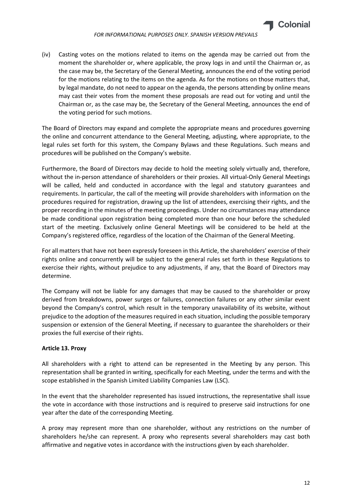

(iv) Casting votes on the motions related to items on the agenda may be carried out from the moment the shareholder or, where applicable, the proxy logs in and until the Chairman or, as the case may be, the Secretary of the General Meeting, announces the end of the voting period for the motions relating to the items on the agenda. As for the motions on those matters that, by legal mandate, do not need to appear on the agenda, the persons attending by online means may cast their votes from the moment these proposals are read out for voting and until the Chairman or, as the case may be, the Secretary of the General Meeting, announces the end of the voting period for such motions.

The Board of Directors may expand and complete the appropriate means and procedures governing the online and concurrent attendance to the General Meeting, adjusting, where appropriate, to the legal rules set forth for this system, the Company Bylaws and these Regulations. Such means and procedures will be published on the Company's website.

Furthermore, the Board of Directors may decide to hold the meeting solely virtually and, therefore, without the in-person attendance of shareholders or their proxies. All virtual-Only General Meetings will be called, held and conducted in accordance with the legal and statutory guarantees and requirements. In particular, the call of the meeting will provide shareholders with information on the procedures required for registration, drawing up the list of attendees, exercising their rights, and the proper recording in the minutes of the meeting proceedings. Under no circumstances may attendance be made conditional upon registration being completed more than one hour before the scheduled start of the meeting. Exclusively online General Meetings will be considered to be held at the Company's registered office, regardless of the location of the Chairman of the General Meeting.

For all matters that have not been expressly foreseen in this Article, the shareholders' exercise of their rights online and concurrently will be subject to the general rules set forth in these Regulations to exercise their rights, without prejudice to any adjustments, if any, that the Board of Directors may determine.

The Company will not be liable for any damages that may be caused to the shareholder or proxy derived from breakdowns, power surges or failures, connection failures or any other similar event beyond the Company's control, which result in the temporary unavailability of its website, without prejudice to the adoption of the measures required in each situation, including the possible temporary suspension or extension of the General Meeting, if necessary to guarantee the shareholders or their proxies the full exercise of their rights.

## <span id="page-11-0"></span>**Article 13. Proxy**

All shareholders with a right to attend can be represented in the Meeting by any person. This representation shall be granted in writing, specifically for each Meeting, under the terms and with the scope established in the Spanish Limited Liability Companies Law (LSC).

In the event that the shareholder represented has issued instructions, the representative shall issue the vote in accordance with those instructions and is required to preserve said instructions for one year after the date of the corresponding Meeting.

A proxy may represent more than one shareholder, without any restrictions on the number of shareholders he/she can represent. A proxy who represents several shareholders may cast both affirmative and negative votes in accordance with the instructions given by each shareholder.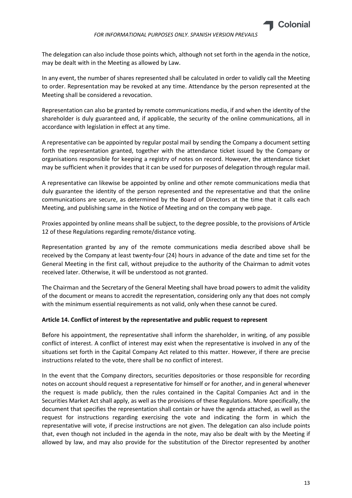

The delegation can also include those points which, although not set forth in the agenda in the notice, may be dealt with in the Meeting as allowed by Law.

In any event, the number of shares represented shall be calculated in order to validly call the Meeting to order. Representation may be revoked at any time. Attendance by the person represented at the Meeting shall be considered a revocation.

Representation can also be granted by remote communications media, if and when the identity of the shareholder is duly guaranteed and, if applicable, the security of the online communications, all in accordance with legislation in effect at any time.

A representative can be appointed by regular postal mail by sending the Company a document setting forth the representation granted, together with the attendance ticket issued by the Company or organisations responsible for keeping a registry of notes on record. However, the attendance ticket may be sufficient when it provides that it can be used for purposes of delegation through regular mail.

A representative can likewise be appointed by online and other remote communications media that duly guarantee the identity of the person represented and the representative and that the online communications are secure, as determined by the Board of Directors at the time that it calls each Meeting, and publishing same in the Notice of Meeting and on the company web page.

Proxies appointed by online means shall be subject, to the degree possible, to the provisions of Article 12 of these Regulations regarding remote/distance voting.

Representation granted by any of the remote communications media described above shall be received by the Company at least twenty-four (24) hours in advance of the date and time set for the General Meeting in the first call, without prejudice to the authority of the Chairman to admit votes received later. Otherwise, it will be understood as not granted.

The Chairman and the Secretary of the General Meeting shall have broad powers to admit the validity of the document or means to accredit the representation, considering only any that does not comply with the minimum essential requirements as not valid, only when these cannot be cured.

## <span id="page-12-0"></span>**Article 14. Conflict of interest by the representative and public request to represent**

Before his appointment, the representative shall inform the shareholder, in writing, of any possible conflict of interest. A conflict of interest may exist when the representative is involved in any of the situations set forth in the Capital Company Act related to this matter. However, if there are precise instructions related to the vote, there shall be no conflict of interest.

In the event that the Company directors, securities depositories or those responsible for recording notes on account should request a representative for himself or for another, and in general whenever the request is made publicly, then the rules contained in the Capital Companies Act and in the Securities Market Act shall apply, as well as the provisions of these Regulations. More specifically, the document that specifies the representation shall contain or have the agenda attached, as well as the request for instructions regarding exercising the vote and indicating the form in which the representative will vote, if precise instructions are not given. The delegation can also include points that, even though not included in the agenda in the note, may also be dealt with by the Meeting if allowed by law, and may also provide for the substitution of the Director represented by another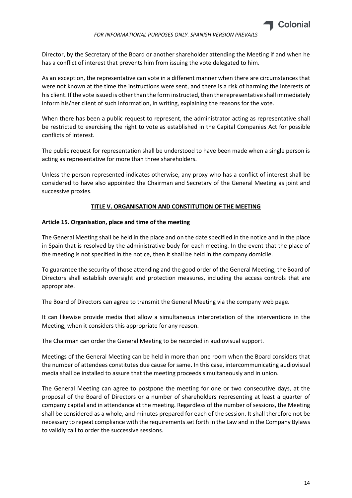

Director, by the Secretary of the Board or another shareholder attending the Meeting if and when he has a conflict of interest that prevents him from issuing the vote delegated to him.

As an exception, the representative can vote in a different manner when there are circumstances that were not known at the time the instructions were sent, and there is a risk of harming the interests of his client. If the vote issued is other than the form instructed, then the representative shall immediately inform his/her client of such information, in writing, explaining the reasons for the vote.

When there has been a public request to represent, the administrator acting as representative shall be restricted to exercising the right to vote as established in the Capital Companies Act for possible conflicts of interest.

The public request for representation shall be understood to have been made when a single person is acting as representative for more than three shareholders.

Unless the person represented indicates otherwise, any proxy who has a conflict of interest shall be considered to have also appointed the Chairman and Secretary of the General Meeting as joint and successive proxies.

## **TITLE V. ORGANISATION AND CONSTITUTION OF THE MEETING**

#### <span id="page-13-1"></span><span id="page-13-0"></span>**Article 15. Organisation, place and time of the meeting**

The General Meeting shall be held in the place and on the date specified in the notice and in the place in Spain that is resolved by the administrative body for each meeting. In the event that the place of the meeting is not specified in the notice, then it shall be held in the company domicile.

To guarantee the security of those attending and the good order of the General Meeting, the Board of Directors shall establish oversight and protection measures, including the access controls that are appropriate.

The Board of Directors can agree to transmit the General Meeting via the company web page.

It can likewise provide media that allow a simultaneous interpretation of the interventions in the Meeting, when it considers this appropriate for any reason.

The Chairman can order the General Meeting to be recorded in audiovisual support.

Meetings of the General Meeting can be held in more than one room when the Board considers that the number of attendees constitutes due cause for same. In this case, intercommunicating audiovisual media shall be installed to assure that the meeting proceeds simultaneously and in union.

The General Meeting can agree to postpone the meeting for one or two consecutive days, at the proposal of the Board of Directors or a number of shareholders representing at least a quarter of company capital and in attendance at the meeting. Regardless of the number of sessions, the Meeting shall be considered as a whole, and minutes prepared for each of the session. It shall therefore not be necessary to repeat compliance with the requirements set forth in the Law and in the Company Bylaws to validly call to order the successive sessions.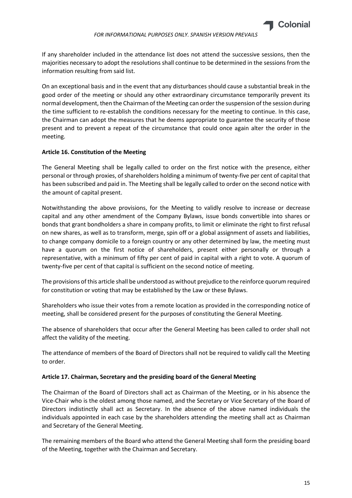

If any shareholder included in the attendance list does not attend the successive sessions, then the majorities necessary to adopt the resolutions shall continue to be determined in the sessions from the information resulting from said list.

On an exceptional basis and in the event that any disturbances should cause a substantial break in the good order of the meeting or should any other extraordinary circumstance temporarily prevent its normal development, then the Chairman of the Meeting can order the suspension of the session during the time sufficient to re-establish the conditions necessary for the meeting to continue. In this case, the Chairman can adopt the measures that he deems appropriate to guarantee the security of those present and to prevent a repeat of the circumstance that could once again alter the order in the meeting.

## <span id="page-14-0"></span>**Article 16. Constitution of the Meeting**

The General Meeting shall be legally called to order on the first notice with the presence, either personal or through proxies, of shareholders holding a minimum of twenty-five per cent of capital that has been subscribed and paid in. The Meeting shall be legally called to order on the second notice with the amount of capital present.

Notwithstanding the above provisions, for the Meeting to validly resolve to increase or decrease capital and any other amendment of the Company Bylaws, issue bonds convertible into shares or bonds that grant bondholders a share in company profits, to limit or eliminate the right to first refusal on new shares, as well as to transform, merge, spin off or a global assignment of assets and liabilities, to change company domicile to a foreign country or any other determined by law, the meeting must have a quorum on the first notice of shareholders, present either personally or through a representative, with a minimum of fifty per cent of paid in capital with a right to vote. A quorum of twenty-five per cent of that capital is sufficient on the second notice of meeting.

The provisions of this article shall be understood as without prejudice to the reinforce quorum required for constitution or voting that may be established by the Law or these Bylaws.

Shareholders who issue their votes from a remote location as provided in the corresponding notice of meeting, shall be considered present for the purposes of constituting the General Meeting.

The absence of shareholders that occur after the General Meeting has been called to order shall not affect the validity of the meeting.

The attendance of members of the Board of Directors shall not be required to validly call the Meeting to order.

#### <span id="page-14-1"></span>**Article 17. Chairman, Secretary and the presiding board of the General Meeting**

The Chairman of the Board of Directors shall act as Chairman of the Meeting, or in his absence the Vice-Chair who is the oldest among those named, and the Secretary or Vice Secretary of the Board of Directors indistinctly shall act as Secretary. In the absence of the above named individuals the individuals appointed in each case by the shareholders attending the meeting shall act as Chairman and Secretary of the General Meeting.

The remaining members of the Board who attend the General Meeting shall form the presiding board of the Meeting, together with the Chairman and Secretary.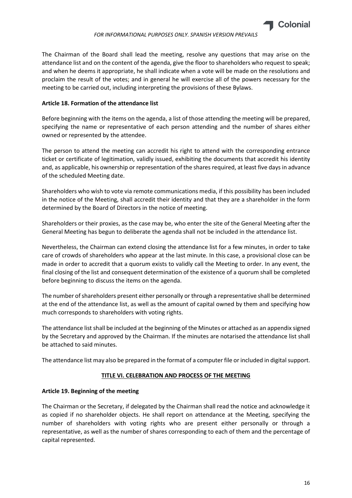

The Chairman of the Board shall lead the meeting, resolve any questions that may arise on the attendance list and on the content of the agenda, give the floor to shareholders who request to speak; and when he deems it appropriate, he shall indicate when a vote will be made on the resolutions and proclaim the result of the votes; and in general he will exercise all of the powers necessary for the meeting to be carried out, including interpreting the provisions of these Bylaws.

## <span id="page-15-0"></span>**Article 18. Formation of the attendance list**

Before beginning with the items on the agenda, a list of those attending the meeting will be prepared, specifying the name or representative of each person attending and the number of shares either owned or represented by the attendee.

The person to attend the meeting can accredit his right to attend with the corresponding entrance ticket or certificate of legitimation, validly issued, exhibiting the documents that accredit his identity and, as applicable, his ownership or representation of the shares required, at least five days in advance of the scheduled Meeting date.

Shareholders who wish to vote via remote communications media, if this possibility has been included in the notice of the Meeting, shall accredit their identity and that they are a shareholder in the form determined by the Board of Directors in the notice of meeting.

Shareholders or their proxies, as the case may be, who enter the site of the General Meeting after the General Meeting has begun to deliberate the agenda shall not be included in the attendance list.

Nevertheless, the Chairman can extend closing the attendance list for a few minutes, in order to take care of crowds of shareholders who appear at the last minute. In this case, a provisional close can be made in order to accredit that a quorum exists to validly call the Meeting to order. In any event, the final closing of the list and consequent determination of the existence of a quorum shall be completed before beginning to discuss the items on the agenda.

The number of shareholders present either personally or through a representative shall be determined at the end of the attendance list, as well as the amount of capital owned by them and specifying how much corresponds to shareholders with voting rights.

The attendance list shall be included at the beginning of the Minutes or attached as an appendix signed by the Secretary and approved by the Chairman. If the minutes are notarised the attendance list shall be attached to said minutes.

<span id="page-15-1"></span>The attendance list may also be prepared in the format of a computer file or included in digital support.

## **TITLE VI. CELEBRATION AND PROCESS OF THE MEETING**

## <span id="page-15-2"></span>**Article 19. Beginning of the meeting**

The Chairman or the Secretary, if delegated by the Chairman shall read the notice and acknowledge it as copied if no shareholder objects. He shall report on attendance at the Meeting, specifying the number of shareholders with voting rights who are present either personally or through a representative, as well as the number of shares corresponding to each of them and the percentage of capital represented.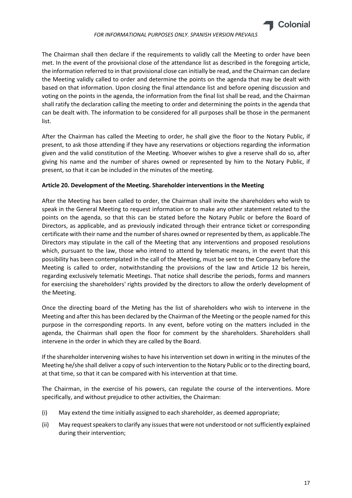

The Chairman shall then declare if the requirements to validly call the Meeting to order have been met. In the event of the provisional close of the attendance list as described in the foregoing article, the information referred to in that provisional close can initially be read, and the Chairman can declare the Meeting validly called to order and determine the points on the agenda that may be dealt with based on that information. Upon closing the final attendance list and before opening discussion and voting on the points in the agenda, the information from the final list shall be read, and the Chairman shall ratify the declaration calling the meeting to order and determining the points in the agenda that can be dealt with. The information to be considered for all purposes shall be those in the permanent list.

After the Chairman has called the Meeting to order, he shall give the floor to the Notary Public, if present, to ask those attending if they have any reservations or objections regarding the information given and the valid constitution of the Meeting. Whoever wishes to give a reserve shall do so, after giving his name and the number of shares owned or represented by him to the Notary Public, if present, so that it can be included in the minutes of the meeting.

## <span id="page-16-0"></span>**Article 20. Development of the Meeting. Shareholder interventions in the Meeting**

After the Meeting has been called to order, the Chairman shall invite the shareholders who wish to speak in the General Meeting to request information or to make any other statement related to the points on the agenda, so that this can be stated before the Notary Public or before the Board of Directors, as applicable, and as previously indicated through their entrance ticket or corresponding certificate with their name and the number of shares owned or represented by them, as applicable.The Directors may stipulate in the call of the Meeting that any interventions and proposed resolutions which, pursuant to the law, those who intend to attend by telematic means, in the event that this possibility has been contemplated in the call of the Meeting, must be sent to the Company before the Meeting is called to order, notwithstanding the provisions of the law and Article 12 bis herein, regarding exclusively telematic Meetings. That notice shall describe the periods, forms and manners for exercising the shareholders' rights provided by the directors to allow the orderly development of the Meeting.

Once the directing board of the Meting has the list of shareholders who wish to intervene in the Meeting and after this has been declared by the Chairman of the Meeting or the people named for this purpose in the corresponding reports. In any event, before voting on the matters included in the agenda, the Chairman shall open the floor for comment by the shareholders. Shareholders shall intervene in the order in which they are called by the Board.

If the shareholder intervening wishes to have his intervention set down in writing in the minutes of the Meeting he/she shall deliver a copy of such intervention to the Notary Public or to the directing board, at that time, so that it can be compared with his intervention at that time.

The Chairman, in the exercise of his powers, can regulate the course of the interventions. More specifically, and without prejudice to other activities, the Chairman:

- (i) May extend the time initially assigned to each shareholder, as deemed appropriate;
- (ii) May request speakers to clarify any issuesthat were not understood or notsufficiently explained during their intervention;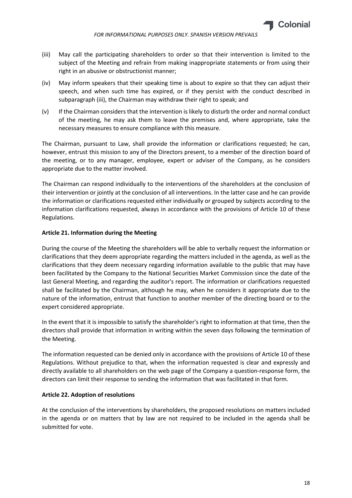

- (iii) May call the participating shareholders to order so that their intervention is limited to the subject of the Meeting and refrain from making inappropriate statements or from using their right in an abusive or obstructionist manner;
- (iv) May inform speakers that their speaking time is about to expire so that they can adjust their speech, and when such time has expired, or if they persist with the conduct described in subparagraph (iii), the Chairman may withdraw their right to speak; and
- (v) If the Chairman considers that the intervention is likely to disturb the order and normal conduct of the meeting, he may ask them to leave the premises and, where appropriate, take the necessary measures to ensure compliance with this measure.

The Chairman, pursuant to Law, shall provide the information or clarifications requested; he can, however, entrust this mission to any of the Directors present, to a member of the direction board of the meeting, or to any manager, employee, expert or adviser of the Company, as he considers appropriate due to the matter involved.

The Chairman can respond individually to the interventions of the shareholders at the conclusion of their intervention or jointly at the conclusion of all interventions. In the latter case and he can provide the information or clarifications requested either individually or grouped by subjects according to the information clarifications requested, always in accordance with the provisions of Article 10 of these Regulations.

## <span id="page-17-0"></span>**Article 21. Information during the Meeting**

During the course of the Meeting the shareholders will be able to verbally request the information or clarifications that they deem appropriate regarding the matters included in the agenda, as well as the clarifications that they deem necessary regarding information available to the public that may have been facilitated by the Company to the National Securities Market Commission since the date of the last General Meeting, and regarding the auditor's report. The information or clarifications requested shall be facilitated by the Chairman, although he may, when he considers it appropriate due to the nature of the information, entrust that function to another member of the directing board or to the expert considered appropriate.

In the event that it is impossible to satisfy the shareholder's right to information at that time, then the directors shall provide that information in writing within the seven days following the termination of the Meeting.

The information requested can be denied only in accordance with the provisions of Article 10 of these Regulations. Without prejudice to that, when the information requested is clear and expressly and directly available to all shareholders on the web page of the Company a question-response form, the directors can limit their response to sending the information that was facilitated in that form.

## <span id="page-17-1"></span>**Article 22. Adoption of resolutions**

At the conclusion of the interventions by shareholders, the proposed resolutions on matters included in the agenda or on matters that by law are not required to be included in the agenda shall be submitted for vote.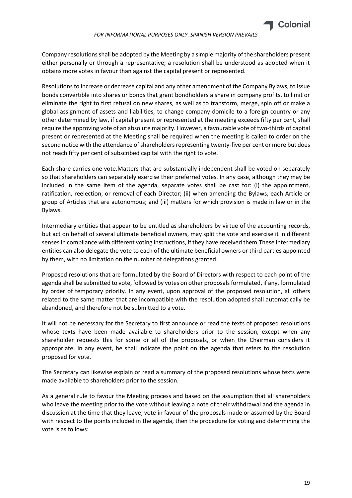

Company resolutions shall be adopted by the Meeting by a simple majority of the shareholders present either personally or through a representative; a resolution shall be understood as adopted when it obtains more votes in favour than against the capital present or represented.

Resolutions to increase or decrease capital and any other amendment of the Company Bylaws, to issue bonds convertible into shares or bonds that grant bondholders a share in company profits, to limit or eliminate the right to first refusal on new shares, as well as to transform, merge, spin off or make a global assignment of assets and liabilities, to change company domicile to a foreign country or any other determined by law, if capital present or represented at the meeting exceeds fifty per cent, shall require the approving vote of an absolute majority. However, a favourable vote of two-thirds of capital present or represented at the Meeting shall be required when the meeting is called to order on the second notice with the attendance of shareholders representing twenty-five per cent or more but does not reach fifty per cent of subscribed capital with the right to vote.

Each share carries one vote.Matters that are substantially independent shall be voted on separately so that shareholders can separately exercise their preferred votes. In any case, although they may be included in the same item of the agenda, separate votes shall be cast for: (i) the appointment, ratification, reelection, or removal of each Director; (ii) when amending the Bylaws, each Article or group of Articles that are autonomous; and (iii) matters for which provision is made in law or in the Bylaws.

Intermediary entities that appear to be entitled as shareholders by virtue of the accounting records, but act on behalf of several ultimate beneficial owners, may split the vote and exercise it in different senses in compliance with different voting instructions, if they have received them.These intermediary entities can also delegate the vote to each of the ultimate beneficial owners or third parties appointed by them, with no limitation on the number of delegations granted.

Proposed resolutions that are formulated by the Board of Directors with respect to each point of the agenda shall be submitted to vote, followed by votes on other proposals formulated, if any, formulated by order of temporary priority. In any event, upon approval of the proposed resolution, all others related to the same matter that are incompatible with the resolution adopted shall automatically be abandoned, and therefore not be submitted to a vote.

It will not be necessary for the Secretary to first announce or read the texts of proposed resolutions whose texts have been made available to shareholders prior to the session, except when any shareholder requests this for some or all of the proposals, or when the Chairman considers it appropriate. In any event, he shall indicate the point on the agenda that refers to the resolution proposed for vote.

The Secretary can likewise explain or read a summary of the proposed resolutions whose texts were made available to shareholders prior to the session.

As a general rule to favour the Meeting process and based on the assumption that all shareholders who leave the meeting prior to the vote without leaving a note of their withdrawal and the agenda in discussion at the time that they leave, vote in favour of the proposals made or assumed by the Board with respect to the points included in the agenda, then the procedure for voting and determining the vote is as follows: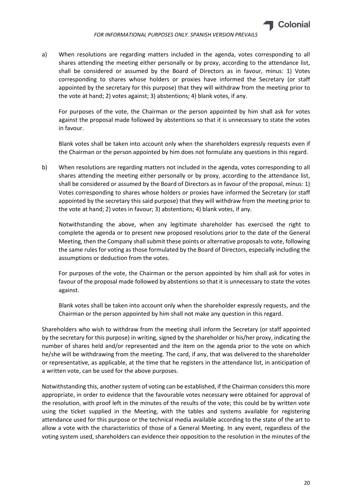

a) When resolutions are regarding matters included in the agenda, votes corresponding to all shares attending the meeting either personally or by proxy, according to the attendance list, shall be considered or assumed by the Board of Directors as in favour, minus: 1) Votes corresponding to shares whose holders or proxies have informed the Secretary (or staff appointed by the secretary for this purpose) that they will withdraw from the meeting prior to the vote at hand; 2) votes against; 3) abstentions; 4) blank votes, if any.

For purposes of the vote, the Chairman or the person appointed by him shall ask for votes against the proposal made followed by abstentions so that it is unnecessary to state the votes in favour.

Blank votes shall be taken into account only when the shareholders expressly requests even if the Chairman or the person appointed by him does not formulate any questions in this regard.

b) When resolutions are regarding matters not included in the agenda, votes corresponding to all shares attending the meeting either personally or by proxy, according to the attendance list, shall be considered or assumed by the Board of Directors as in favour of the proposal, minus: 1) Votes corresponding to shares whose holders or proxies have informed the Secretary (or staff appointed by the secretary this said purpose) that they will withdraw from the meeting prior to the vote at hand; 2) votes in favour; 3) abstentions; 4) blank votes, if any.

Notwithstanding the above, when any legitimate shareholder has exercised the right to complete the agenda or to present new proposed resolutions prior to the date of the General Meeting, then the Company shall submit these points or alternative proposals to vote, following the same rules for voting as those formulated by the Board of Directors, especially including the assumptions or deduction from the votes.

For purposes of the vote, the Chairman or the person appointed by him shall ask for votes in favour of the proposal made followed by abstentions so that it is unnecessary to state the votes against.

Blank votes shall be taken into account only when the shareholder expressly requests, and the Chairman or the person appointed by him shall not make any question in this regard.

Shareholders who wish to withdraw from the meeting shall inform the Secretary (or staff appointed by the secretary for this purpose) in writing, signed by the shareholder or his/her proxy, indicating the number of shares held and/or represented and the item on the agenda prior to the vote on which he/she will be withdrawing from the meeting. The card, if any, that was delivered to the shareholder or representative, as applicable, at the time that he registers in the attendance list, in anticipation of a written vote, can be used for the above purposes.

Notwithstanding this, another system of voting can be established, if the Chairman considers this more appropriate, in order to evidence that the favourable votes necessary were obtained for approval of the resolution, with proof left in the minutes of the results of the vote; this could be by written vote using the ticket supplied in the Meeting, with the tables and systems available for registering attendance used for this purpose or the technical media available according to the state of the art to allow a vote with the characteristics of those of a General Meeting. In any event, regardless of the voting system used, shareholders can evidence their opposition to the resolution in the minutes of the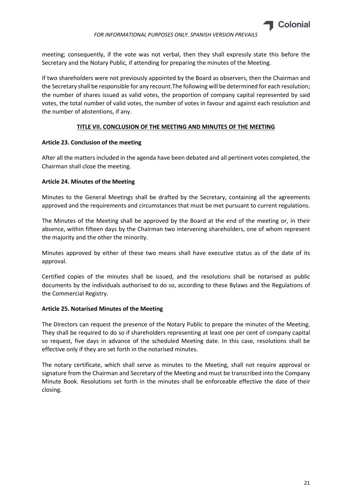

meeting; consequently, if the vote was not verbal, then they shall expressly state this before the Secretary and the Notary Public, if attending for preparing the minutes of the Meeting.

If two shareholders were not previously appointed by the Board as observers, then the Chairman and the Secretary shall be responsible for any recount.The following will be determined for each resolution; the number of shares issued as valid votes, the proportion of company capital represented by said votes, the total number of valid votes, the number of votes in favour and against each resolution and the number of abstentions, if any.

# **TITLE VII. CONCLUSION OF THE MEETING AND MINUTES OF THE MEETING**

## <span id="page-20-1"></span><span id="page-20-0"></span>**Article 23. Conclusion of the meeting**

After all the matters included in the agenda have been debated and all pertinent votes completed, the Chairman shall close the meeting.

# <span id="page-20-2"></span>**Article 24. Minutes of the Meeting**

Minutes to the General Meetings shall be drafted by the Secretary, containing all the agreements approved and the requirements and circumstances that must be met pursuant to current regulations.

The Minutes of the Meeting shall be approved by the Board at the end of the meeting or, in their absence, within fifteen days by the Chairman two intervening shareholders, one of whom represent the majority and the other the minority.

Minutes approved by either of these two means shall have executive status as of the date of its approval.

Certified copies of the minutes shall be issued, and the resolutions shall be notarised as public documents by the individuals authorised to do so, according to these Bylaws and the Regulations of the Commercial Registry.

## <span id="page-20-3"></span>**Article 25. Notarised Minutes of the Meeting**

The Directors can request the presence of the Notary Public to prepare the minutes of the Meeting. They shall be required to do so if shareholders representing at least one per cent of company capital so request, five days in advance of the scheduled Meeting date. In this case, resolutions shall be effective only if they are set forth in the notarised minutes.

The notary certificate, which shall serve as minutes to the Meeting, shall not require approval or signature from the Chairman and Secretary of the Meeting and must be transcribed into the Company Minute Book. Resolutions set forth in the minutes shall be enforceable effective the date of their closing.